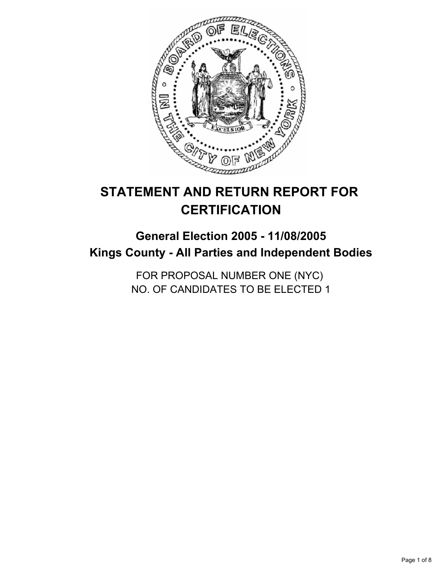

# **STATEMENT AND RETURN REPORT FOR CERTIFICATION**

# **General Election 2005 - 11/08/2005 Kings County - All Parties and Independent Bodies**

FOR PROPOSAL NUMBER ONE (NYC) NO. OF CANDIDATES TO BE ELECTED 1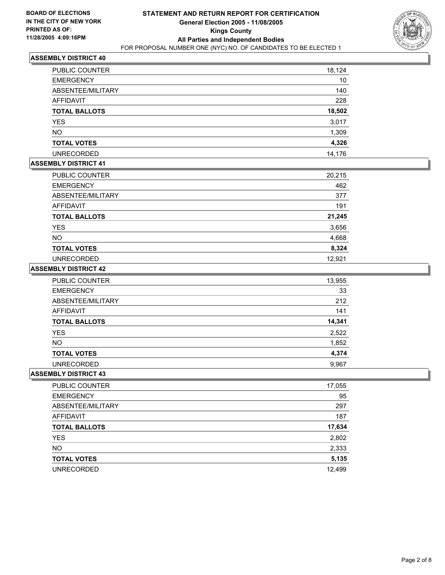

| <b>PUBLIC COUNTER</b> | 18,124 |
|-----------------------|--------|
| <b>EMERGENCY</b>      | 10     |
| ABSENTEE/MILITARY     | 140    |
| <b>AFFIDAVIT</b>      | 228    |
| <b>TOTAL BALLOTS</b>  | 18,502 |
| YES                   | 3,017  |
| <b>NO</b>             | 1,309  |
| <b>TOTAL VOTES</b>    | 4,326  |
| <b>UNRECORDED</b>     | 14,176 |

# **ASSEMBLY DISTRICT 41**

| PUBLIC COUNTER       | 20,215 |
|----------------------|--------|
| <b>EMERGENCY</b>     | 462    |
| ABSENTEE/MILITARY    | 377    |
| <b>AFFIDAVIT</b>     | 191    |
| <b>TOTAL BALLOTS</b> | 21,245 |
| <b>YES</b>           | 3,656  |
| <b>NO</b>            | 4,668  |
| <b>TOTAL VOTES</b>   | 8,324  |
| <b>UNRECORDED</b>    | 12.921 |

#### **ASSEMBLY DISTRICT 42**

| PUBLIC COUNTER       | 13,955 |
|----------------------|--------|
| <b>EMERGENCY</b>     | 33     |
| ABSENTEE/MILITARY    | 212    |
| AFFIDAVIT            | 141    |
| <b>TOTAL BALLOTS</b> | 14,341 |
| <b>YES</b>           | 2,522  |
| <b>NO</b>            | 1,852  |
| <b>TOTAL VOTES</b>   | 4,374  |
| <b>UNRECORDED</b>    | 9,967  |

| PUBLIC COUNTER       | 17,055 |
|----------------------|--------|
| <b>EMERGENCY</b>     | 95     |
| ABSENTEE/MILITARY    | 297    |
| AFFIDAVIT            | 187    |
| <b>TOTAL BALLOTS</b> | 17,634 |
| <b>YES</b>           | 2,802  |
| <b>NO</b>            | 2,333  |
| <b>TOTAL VOTES</b>   | 5,135  |
| <b>UNRECORDED</b>    | 12,499 |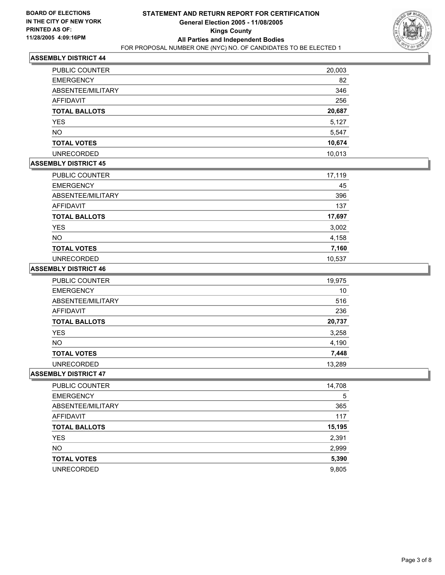

| PUBLIC COUNTER       | 20,003 |
|----------------------|--------|
| <b>EMERGENCY</b>     | 82     |
| ABSENTEE/MILITARY    | 346    |
| AFFIDAVIT            | 256    |
| <b>TOTAL BALLOTS</b> | 20,687 |
| <b>YES</b>           | 5,127  |
| <b>NO</b>            | 5,547  |
| <b>TOTAL VOTES</b>   | 10,674 |
| <b>UNRECORDED</b>    | 10,013 |

# **ASSEMBLY DISTRICT 45**

| PUBLIC COUNTER       | 17,119 |
|----------------------|--------|
| <b>EMERGENCY</b>     | 45     |
| ABSENTEE/MILITARY    | 396    |
| AFFIDAVIT            | 137    |
| <b>TOTAL BALLOTS</b> | 17,697 |
| <b>YES</b>           | 3,002  |
| <b>NO</b>            | 4,158  |
| <b>TOTAL VOTES</b>   | 7,160  |
| <b>UNRECORDED</b>    | 10,537 |

#### **ASSEMBLY DISTRICT 46**

| <b>PUBLIC COUNTER</b> | 19,975 |
|-----------------------|--------|
| <b>EMERGENCY</b>      | 10     |
| ABSENTEE/MILITARY     | 516    |
| AFFIDAVIT             | 236    |
| <b>TOTAL BALLOTS</b>  | 20,737 |
| <b>YES</b>            | 3,258  |
| <b>NO</b>             | 4,190  |
| <b>TOTAL VOTES</b>    | 7,448  |
| <b>UNRECORDED</b>     | 13,289 |

| PUBLIC COUNTER       | 14,708 |
|----------------------|--------|
| <b>EMERGENCY</b>     | 5      |
| ABSENTEE/MILITARY    | 365    |
| AFFIDAVIT            | 117    |
| <b>TOTAL BALLOTS</b> | 15,195 |
| <b>YES</b>           | 2,391  |
| <b>NO</b>            | 2,999  |
| <b>TOTAL VOTES</b>   | 5,390  |
| <b>UNRECORDED</b>    | 9,805  |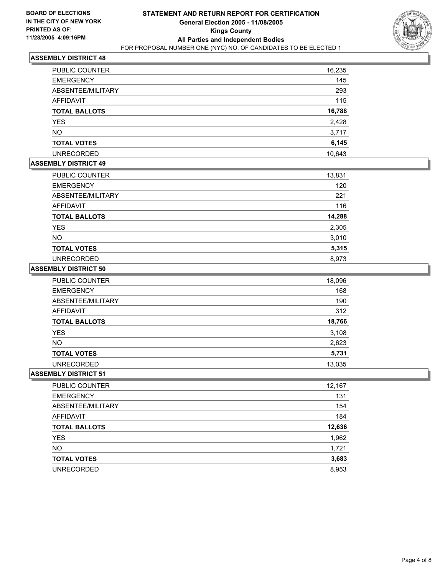

| PUBLIC COUNTER       | 16,235 |
|----------------------|--------|
| <b>EMERGENCY</b>     | 145    |
| ABSENTEE/MILITARY    | 293    |
| AFFIDAVIT            | 115    |
| <b>TOTAL BALLOTS</b> | 16,788 |
| YES                  | 2,428  |
| <b>NO</b>            | 3,717  |
| <b>TOTAL VOTES</b>   | 6,145  |
| <b>UNRECORDED</b>    | 10,643 |

## **ASSEMBLY DISTRICT 49**

| <b>PUBLIC COUNTER</b> | 13,831 |
|-----------------------|--------|
| <b>EMERGENCY</b>      | 120    |
| ABSENTEE/MILITARY     | 221    |
| AFFIDAVIT             | 116    |
| <b>TOTAL BALLOTS</b>  | 14,288 |
| <b>YES</b>            | 2,305  |
| <b>NO</b>             | 3,010  |
| <b>TOTAL VOTES</b>    | 5,315  |
| <b>UNRECORDED</b>     | 8,973  |

#### **ASSEMBLY DISTRICT 50**

| PUBLIC COUNTER       | 18,096 |
|----------------------|--------|
| <b>EMERGENCY</b>     | 168    |
| ABSENTEE/MILITARY    | 190    |
| AFFIDAVIT            | 312    |
| <b>TOTAL BALLOTS</b> | 18,766 |
| <b>YES</b>           | 3,108  |
| NO.                  | 2,623  |
| <b>TOTAL VOTES</b>   | 5,731  |
| <b>UNRECORDED</b>    | 13,035 |

| PUBLIC COUNTER       | 12,167 |
|----------------------|--------|
| <b>EMERGENCY</b>     | 131    |
| ABSENTEE/MILITARY    | 154    |
| AFFIDAVIT            | 184    |
| <b>TOTAL BALLOTS</b> | 12,636 |
| <b>YES</b>           | 1,962  |
| <b>NO</b>            | 1,721  |
| <b>TOTAL VOTES</b>   | 3,683  |
| <b>UNRECORDED</b>    | 8,953  |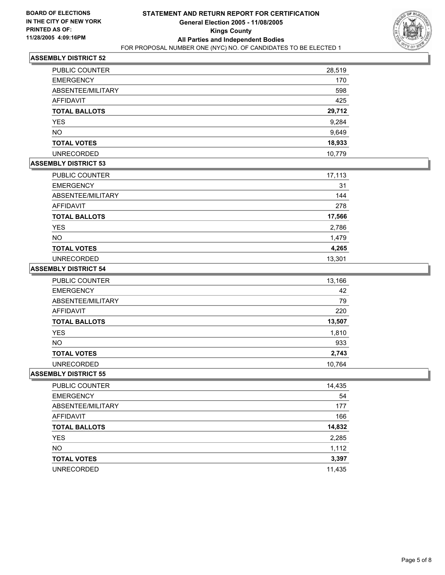

| PUBLIC COUNTER       | 28,519 |
|----------------------|--------|
| <b>EMERGENCY</b>     | 170    |
| ABSENTEE/MILITARY    | 598    |
| AFFIDAVIT            | 425    |
| <b>TOTAL BALLOTS</b> | 29,712 |
| <b>YES</b>           | 9,284  |
| <b>NO</b>            | 9,649  |
| <b>TOTAL VOTES</b>   | 18,933 |
| <b>UNRECORDED</b>    | 10,779 |

# **ASSEMBLY DISTRICT 53**

| PUBLIC COUNTER       | 17,113 |
|----------------------|--------|
| <b>EMERGENCY</b>     | 31     |
| ABSENTEE/MILITARY    | 144    |
| AFFIDAVIT            | 278    |
| <b>TOTAL BALLOTS</b> | 17,566 |
| <b>YES</b>           | 2,786  |
| <b>NO</b>            | 1,479  |
| <b>TOTAL VOTES</b>   | 4,265  |
| <b>UNRECORDED</b>    | 13,301 |

#### **ASSEMBLY DISTRICT 54**

| PUBLIC COUNTER       | 13,166 |
|----------------------|--------|
| <b>EMERGENCY</b>     | 42     |
| ABSENTEE/MILITARY    | 79     |
| AFFIDAVIT            | 220    |
| <b>TOTAL BALLOTS</b> | 13,507 |
| <b>YES</b>           | 1,810  |
| <b>NO</b>            | 933    |
| <b>TOTAL VOTES</b>   | 2,743  |
| <b>UNRECORDED</b>    | 10.764 |

| PUBLIC COUNTER       | 14,435 |
|----------------------|--------|
| <b>EMERGENCY</b>     | 54     |
| ABSENTEE/MILITARY    | 177    |
| AFFIDAVIT            | 166    |
| <b>TOTAL BALLOTS</b> | 14,832 |
| <b>YES</b>           | 2,285  |
| <b>NO</b>            | 1,112  |
| <b>TOTAL VOTES</b>   | 3,397  |
| <b>UNRECORDED</b>    | 11,435 |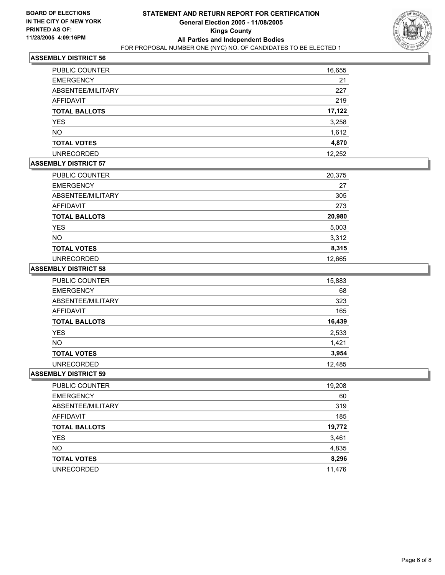

| PUBLIC COUNTER       | 16,655 |
|----------------------|--------|
| <b>EMERGENCY</b>     | 21     |
| ABSENTEE/MILITARY    | 227    |
| <b>AFFIDAVIT</b>     | 219    |
| <b>TOTAL BALLOTS</b> | 17,122 |
| <b>YES</b>           | 3,258  |
| <b>NO</b>            | 1,612  |
| <b>TOTAL VOTES</b>   | 4,870  |
| <b>UNRECORDED</b>    | 12,252 |

# **ASSEMBLY DISTRICT 57**

| PUBLIC COUNTER       | 20,375 |
|----------------------|--------|
| <b>EMERGENCY</b>     | 27     |
| ABSENTEE/MILITARY    | 305    |
| AFFIDAVIT            | 273    |
| <b>TOTAL BALLOTS</b> | 20,980 |
| YES                  | 5,003  |
| <b>NO</b>            | 3,312  |
| <b>TOTAL VOTES</b>   | 8,315  |
| <b>UNRECORDED</b>    | 12,665 |

#### **ASSEMBLY DISTRICT 58**

| PUBLIC COUNTER       | 15,883 |
|----------------------|--------|
| <b>EMERGENCY</b>     | 68     |
| ABSENTEE/MILITARY    | 323    |
| AFFIDAVIT            | 165    |
| <b>TOTAL BALLOTS</b> | 16,439 |
| <b>YES</b>           | 2,533  |
| <b>NO</b>            | 1,421  |
| <b>TOTAL VOTES</b>   | 3,954  |
| <b>UNRECORDED</b>    | 12.485 |

| PUBLIC COUNTER       | 19,208 |
|----------------------|--------|
| <b>EMERGENCY</b>     | 60     |
| ABSENTEE/MILITARY    | 319    |
| AFFIDAVIT            | 185    |
| <b>TOTAL BALLOTS</b> | 19,772 |
| <b>YES</b>           | 3,461  |
| <b>NO</b>            | 4,835  |
| <b>TOTAL VOTES</b>   | 8,296  |
| <b>UNRECORDED</b>    | 11,476 |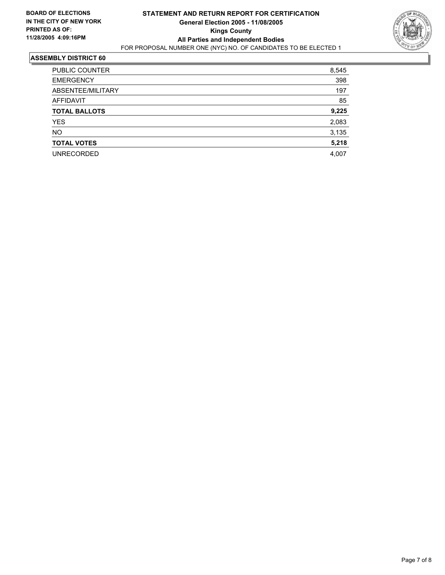

| PUBLIC COUNTER       | 8,545 |
|----------------------|-------|
| <b>EMERGENCY</b>     | 398   |
| ABSENTEE/MILITARY    | 197   |
| <b>AFFIDAVIT</b>     | 85    |
| <b>TOTAL BALLOTS</b> | 9,225 |
| <b>YES</b>           | 2,083 |
| <b>NO</b>            | 3,135 |
| <b>TOTAL VOTES</b>   | 5,218 |
| <b>UNRECORDED</b>    | 4,007 |
|                      |       |